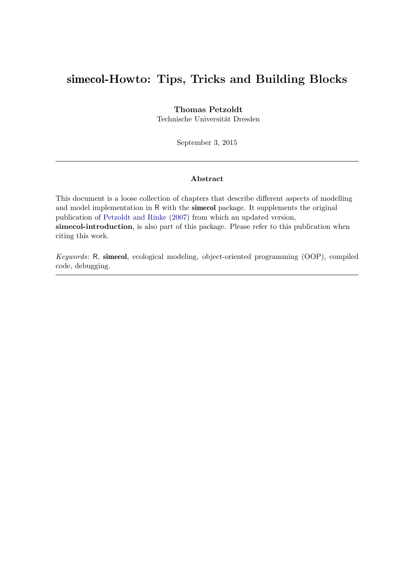### simecol-Howto: Tips, Tricks and Building Blocks

#### Thomas Petzoldt

Technische Universität Dresden

September 3, 2015

#### Abstract

This document is a loose collection of chapters that describe different aspects of modelling and model implementation in R with the simecol package. It supplements the original publication of [Petzoldt and Rinke](#page-30-0) [\(2007\)](#page-30-0) from which an updated version, simecol-introduction, is also part of this package. Please refer to this publication when citing this work.

Keywords: R, simecol, ecological modeling, object-oriented programming (OOP), compiled code, debugging.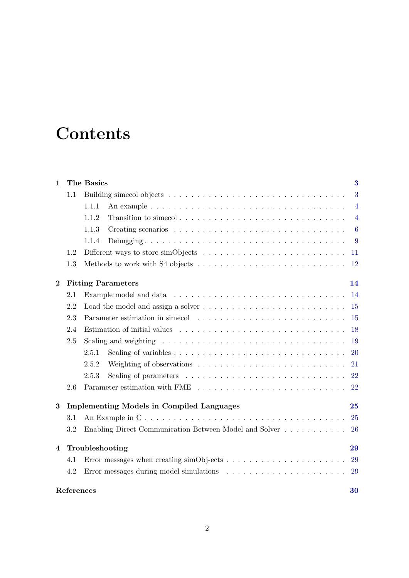# **Contents**

| $\mathbf{1}$ |     | The Basics                                                                                            | $\bf{3}$        |
|--------------|-----|-------------------------------------------------------------------------------------------------------|-----------------|
|              | 1.1 |                                                                                                       | 3               |
|              |     | 1.1.1                                                                                                 | $\overline{4}$  |
|              |     | 1.1.2                                                                                                 | $\overline{4}$  |
|              |     | 1.1.3                                                                                                 | $6\phantom{.}6$ |
|              |     | 1.1.4                                                                                                 | 9               |
|              | 1.2 |                                                                                                       | 11              |
|              | 1.3 |                                                                                                       | <sup>12</sup>   |
| $\bf{2}$     |     | <b>Fitting Parameters</b>                                                                             | 14              |
|              | 2.1 |                                                                                                       | 14              |
|              | 2.2 |                                                                                                       | <sup>15</sup>   |
|              | 2.3 |                                                                                                       | 15              |
|              | 2.4 | Estimation of initial values $\ldots \ldots \ldots \ldots \ldots \ldots \ldots \ldots \ldots \ldots$  | 18              |
|              | 2.5 | Scaling and weighting $\ldots \ldots \ldots \ldots \ldots \ldots \ldots \ldots \ldots \ldots \ldots$  | 19              |
|              |     | 2.5.1                                                                                                 | <b>20</b>       |
|              |     | 2.5.2                                                                                                 | 21              |
|              |     | Scaling of parameters $\dots \dots \dots \dots \dots \dots \dots \dots \dots \dots$<br>2.5.3          | 22              |
|              | 2.6 |                                                                                                       | 22              |
| $\bf{3}$     |     | <b>Implementing Models in Compiled Languages</b>                                                      | 25              |
|              | 3.1 | An Example in $C \ldots \ldots \ldots \ldots \ldots \ldots \ldots \ldots \ldots \ldots \ldots \ldots$ | 25              |
|              | 3.2 | Enabling Direct Communication Between Model and Solver $\dots \dots \dots$                            | 26              |
| 4            |     | Troubleshooting                                                                                       | 29              |
|              | 4.1 | Error messages when creating $\text{simObj-ects} \dots \dots \dots \dots \dots \dots \dots \dots$     | 29              |
|              | 4.2 |                                                                                                       | 29              |
| References   |     |                                                                                                       | 30              |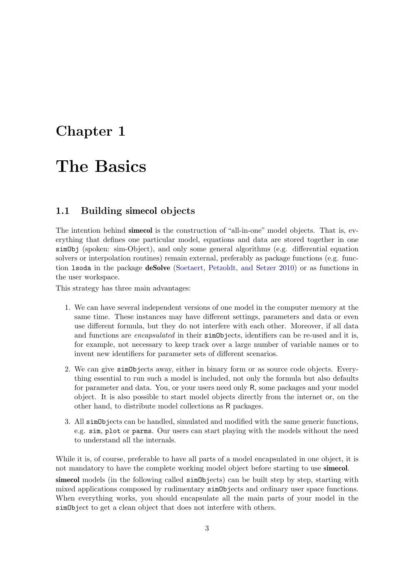### <span id="page-2-0"></span>Chapter 1

# The Basics

#### <span id="page-2-1"></span>1.1 Building simecol objects

The intention behind **simecol** is the construction of "all-in-one" model objects. That is, everything that defines one particular model, equations and data are stored together in one simObj (spoken: sim-Object), and only some general algorithms (e.g. differential equation solvers or interpolation routines) remain external, preferably as package functions (e.g. function lsoda in the package deSolve [\(Soetaert, Petzoldt, and Setzer](#page-30-1) [2010\)](#page-30-1) or as functions in the user workspace.

This strategy has three main advantages:

- 1. We can have several independent versions of one model in the computer memory at the same time. These instances may have different settings, parameters and data or even use different formula, but they do not interfere with each other. Moreover, if all data and functions are *encapsulated* in their **simObjects**, identifiers can be re-used and it is, for example, not necessary to keep track over a large number of variable names or to invent new identifiers for parameter sets of different scenarios.
- 2. We can give simObjects away, either in binary form or as source code objects. Everything essential to run such a model is included, not only the formula but also defaults for parameter and data. You, or your users need only R, some packages and your model object. It is also possible to start model objects directly from the internet or, on the other hand, to distribute model collections as R packages.
- 3. All simObjects can be handled, simulated and modified with the same generic functions, e.g. sim, plot or parms. Our users can start playing with the models without the need to understand all the internals.

While it is, of course, preferable to have all parts of a model encapsulated in one object, it is not mandatory to have the complete working model object before starting to use simecol. sime col models (in the following called sim Objects) can be built step by step, starting with mixed applications composed by rudimentary simObjects and ordinary user space functions. When everything works, you should encapsulate all the main parts of your model in the simObject to get a clean object that does not interfere with others.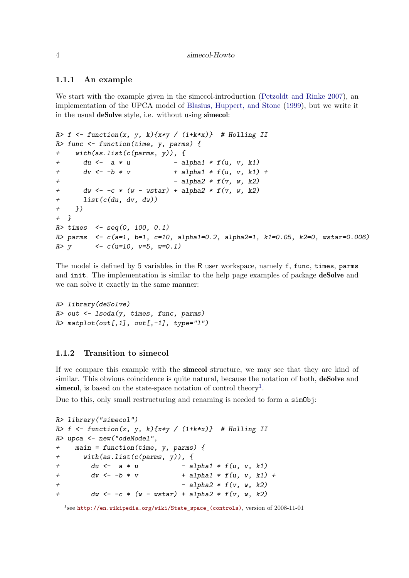#### <span id="page-3-0"></span>1.1.1 An example

We start with the example given in the simecol-introduction [\(Petzoldt and Rinke](#page-30-0) [2007\)](#page-30-0), an implementation of the UPCA model of [Blasius, Huppert, and Stone](#page-30-2) [\(1999\)](#page-30-2), but we write it in the usual deSolve style, i.e. without using simecol:

```
R> f \leftarrow function(x, y, k) \{x*y / (1+k*x)\} # Holling II
R> func <- function(time, y, parms) {
+ with(as.list(c(parms, y)), {
+ du <- a * u - alpha1 * f(u, v, k1)+ dv \leftarrow -b * v + alpha1 * f(u, v, k1) +
                            - alpha2 * f(v, w, k2)+ dw \leftarrow -c * (w - wstar) + alpha2 * f(v, w, k2)+ list(c(du, dv, dw))
+ })
+ }
R times \leq seq(0, 100, 0.1)
R> parms \leq c(a=1, b=1, c=10, alpha=1=0.2, alpha=1, kl=0.05, k=0, wstar=0.006)R > y <- c(u=10, v=5, w=0.1)
```
The model is defined by 5 variables in the R user workspace, namely f, func, times, parms and init. The implementation is similar to the help page examples of package **deSolve** and we can solve it exactly in the same manner:

```
R> library(deSolve)
R> out <- lsoda(y, times, func, parms)
R> matplot(out[,1], out[,-1], type="1")
```
#### <span id="page-3-1"></span>1.1.2 Transition to simecol

If we compare this example with the simecol structure, we may see that they are kind of similar. This obvious coincidence is quite natural, because the notation of both, **deSolve** and simecol, is based on the state-space notation of control theory<sup>[1](#page-3-2)</sup>.

Due to this, only small restructuring and renaming is needed to form a  $\sin 0\phi$ j:

```
R> library("simecol")
R> f <- function(x, y, k){x*y / (1+k*x)} # Holling II
R> upca <- new("odeModel",
+ main = function(time, y, parms) {
+ with(as.list(c(parms, y)), {
       du \leftarrow a * u - alpha1 * f(u, v, k1)+ dv \leftarrow -b * v + alpha1 * f(u, v, k1) +
+ - alpha2 * f(v, w, k2)+ dw \leftarrow -c * (w - wstar) + alpha2 * f(v, w, k2)
```
<span id="page-3-2"></span><sup>&</sup>lt;sup>1</sup>see [http://en.wikipedia.org/wiki/State\\_space\\_\(controls\)](http://en.wikipedia.org/wiki/State_space_(controls)), version of 2008-11-01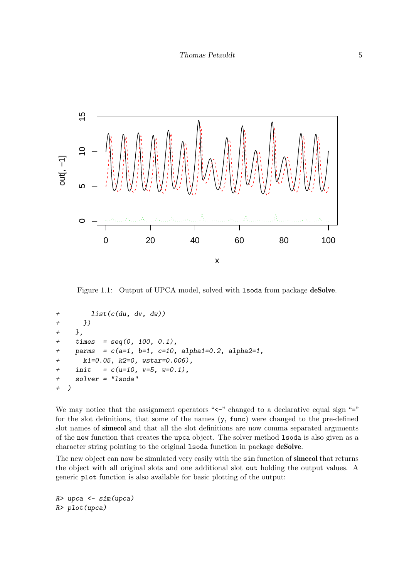

Figure 1.1: Output of UPCA model, solved with 1soda from package deSolve.

```
+ list(c(du, dv, dw))
+ })
+ },
+ \times times = seq(0, 100, 0.1),
    params = c(a=1, b=1, c=10, alpha1=0.2, alpha2=1,k1=0.05, k2=0, wstar=0.006),
+ init = c(u=10, v=5, w=0.1),
+ solver = "lsoda"
+ )
```
We may notice that the assignment operators " $\leq$ " changed to a declarative equal sign "=" for the slot definitions, that some of the names  $(y, func)$  were changed to the pre-defined slot names of simecol and that all the slot definitions are now comma separated arguments of the new function that creates the upca object. The solver method lsoda is also given as a character string pointing to the original lsoda function in package deSolve.

The new object can now be simulated very easily with the  $\sin$  function of simecol that returns the object with all original slots and one additional slot out holding the output values. A generic plot function is also available for basic plotting of the output:

 $R$ > upca  $\leq$  sim(upca) R> plot(upca)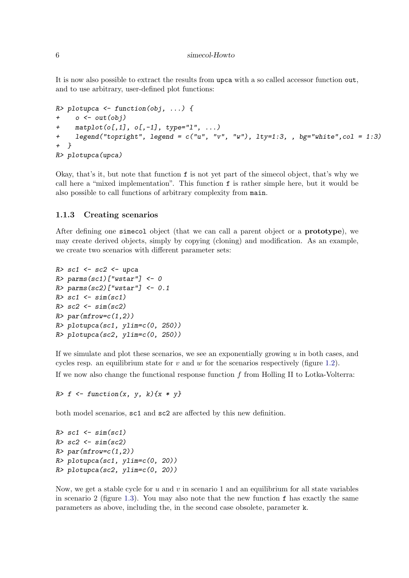It is now also possible to extract the results from upca with a so called accessor function out, and to use arbitrary, user-defined plot functions:

```
R> plotupca <- function(obj, ...) {
+ o \leq out (obj)+ matplot(o[,1], o[,-1], type="l", ...)
+ legend("topright", legend = c("u", "v", "w"), lty=1:3, , bg="white", col = 1:3)
+ }
R> plotupca(upca)
```
Okay, that's it, but note that function f is not yet part of the simecol object, that's why we call here a "mixed implementation". This function f is rather simple here, but it would be also possible to call functions of arbitrary complexity from main.

#### <span id="page-5-0"></span>1.1.3 Creating scenarios

After defining one simecol object (that we can call a parent object or a prototype), we may create derived objects, simply by copying (cloning) and modification. As an example, we create two scenarios with different parameter sets:

```
R> sc1 <- sc2 <- upca
R> parms(sc1)["wstar"] <- 0
R> parms(sc2)["wstar"] <- 0.1
R > sc1 <- sim(sc1)
R > sc2 < - sim(sc2)R> par(mfrow=c(1,2))
R> plotupca(sc1, ylim=c(0, 250))
R> plotupca(sc2, ylim=c(0, 250))
```
If we simulate and plot these scenarios, we see an exponentially growing  $u$  in both cases, and cycles resp. an equilibrium state for v and w for the scenarios respectively (figure [1.2\)](#page-6-0). If we now also change the functional response function  $f$  from Holling II to Lotka-Volterra:

 $R> f \leftarrow function(x, y, k) \{x * y\}$ 

both model scenarios, sc1 and sc2 are affected by this new definition.

```
R > sc1 <- sim(sc1)
R > sc2 \le -\sin(sc2)R> par(mfrow=c(1,2))
R> plotupca(sc1, ylim=c(0, 20))
R> plotupca(sc2, ylim=c(0, 20))
```
Now, we get a stable cycle for  $u$  and  $v$  in scenario 1 and an equilibrium for all state variables in scenario 2 (figure [1.3\)](#page-7-0). You may also note that the new function  $f$  has exactly the same parameters as above, including the, in the second case obsolete, parameter k.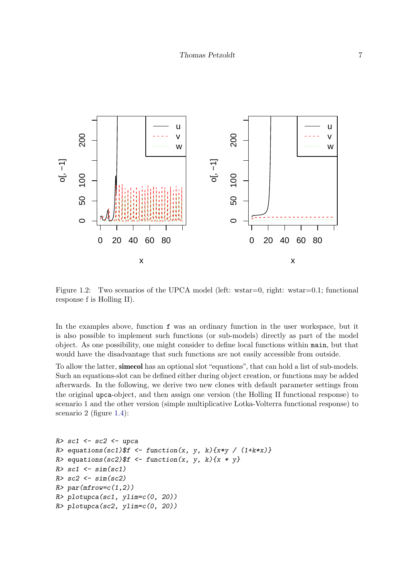

<span id="page-6-0"></span>Figure 1.2: Two scenarios of the UPCA model (left: wstar=0, right: wstar=0.1; functional response f is Holling II).

In the examples above, function f was an ordinary function in the user workspace, but it is also possible to implement such functions (or sub-models) directly as part of the model object. As one possibility, one might consider to define local functions within main, but that would have the disadvantage that such functions are not easily accessible from outside.

To allow the latter, simecol has an optional slot "equations", that can hold a list of sub-models. Such an equations-slot can be defined either during object creation, or functions may be added afterwards. In the following, we derive two new clones with default parameter settings from the original upca-object, and then assign one version (the Holling II functional response) to scenario 1 and the other version (simple multiplicative Lotka-Volterra functional response) to scenario 2 (figure [1.4\)](#page-8-1):

```
R > sc1 <- sc2 <- upca
R> equations(sc1)$f <- function(x, y, k){x*y / (1+k*x)}
R> equations(sc2)$f <- function(x, y, k){x * y}
R> sc1 <- sim(sc1)
R > sc2 < - sim(sc2)R > par(mfrow=c(1,2))R> plotupca(sc1, ylim=c(0, 20))
R> plotupca(sc2, ylim=c(0, 20))
```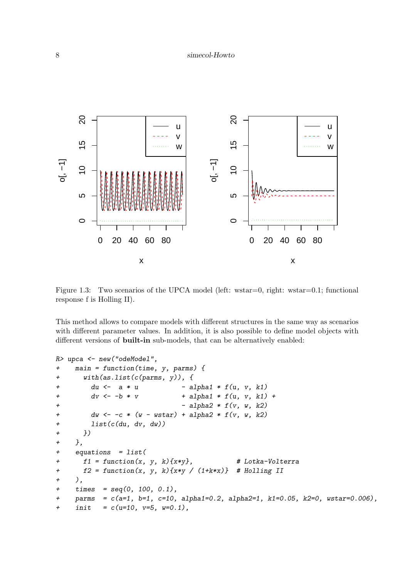

<span id="page-7-0"></span>Figure 1.3: Two scenarios of the UPCA model (left: wstar=0, right: wstar=0.1; functional response f is Holling II).

This method allows to compare models with different structures in the same way as scenarios with different parameter values. In addition, it is also possible to define model objects with different versions of **built-in** sub-models, that can be alternatively enabled:

```
R> upca <- new("odeModel",
+ main = function(time, y, parms) {
+ with(as.list(c(parms, y)), {
+ du \leq -a * u - alpha1 * f(u, v, k1)
+ dv \leftarrow -b * v + alpha1 * f(u, v, k1) +
+ - alpha2 * f(v, w, k2)+ dw \leftarrow -c * (w - wstar) + alpha2 * f(v, w, k2)+ list(c(du, dv, dw))
+ })
+ },
+ equations = list(
+ f1 = function(x, y, k){x*y}, # Lotka-Volterra
+ f2 = function(x, y, k){x*y / (1+k*x)} # Holling II
+ ),
+ times = seq(0, 100, 0.1),
+ parms = c(a=1, b=1, c=10, alpha1=0.2, alpha2=1, k1=0.05, k2=0, wstar=0.006),
+ init = c(u=10, v=5, w=0.1),
```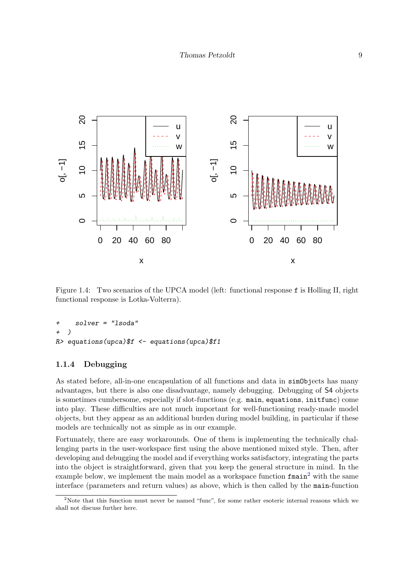

<span id="page-8-1"></span>Figure 1.4: Two scenarios of the UPCA model (left: functional response f is Holling II, right functional response is Lotka-Volterra).

```
+ solver = "lsoda"
+ )
R> equations(upca)$f <- equations(upca)$f1
```
#### <span id="page-8-0"></span>1.1.4 Debugging

As stated before, all-in-one encapsulation of all functions and data in simObjects has many advantages, but there is also one disadvantage, namely debugging. Debugging of S4 objects is sometimes cumbersome, especially if slot-functions (e.g. main, equations, initfunc) come into play. These difficulties are not much important for well-functioning ready-made model objects, but they appear as an additional burden during model building, in particular if these models are technically not as simple as in our example.

Fortunately, there are easy workarounds. One of them is implementing the technically challenging parts in the user-workspace first using the above mentioned mixed style. Then, after developing and debugging the model and if everything works satisfactory, integrating the parts into the object is straightforward, given that you keep the general structure in mind. In the example below, we implement the main model as a workspace function  $f(\text{main}^2)$  $f(\text{main}^2)$  $f(\text{main}^2)$  with the same interface (parameters and return values) as above, which is then called by the main-function

<span id="page-8-2"></span><sup>2</sup>Note that this function must never be named "func", for some rather esoteric internal reasons which we shall not discuss further here.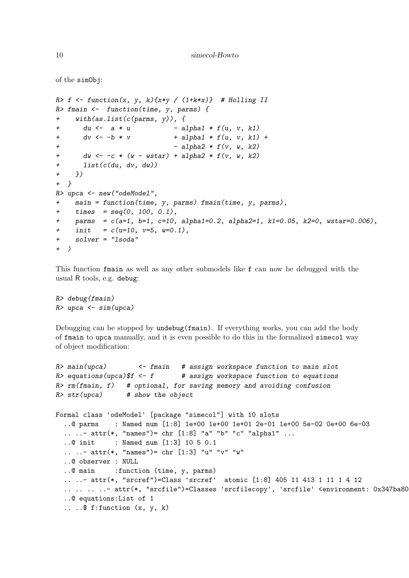```
10 simecol-Howto
```

```
of the simObj:
R> f \leftarrow function(x, y, k) \{x*y / (1+k*x)\} # Holling II
R> fmain <- function(time, y, parms) {
+ with(as.list(c(parms, y)), {
+ du \leftarrow a * u - alpha1 * f(u, v, k1)
+ dv \leftarrow -b * v + alpha1 * f(u, v, k1) +
                             - alpha2 * f(v, w, k2)+ dw \leftarrow -c * (w - wstar) + alpha2 * f(v, w, k2)+ list(c(du, dv, dw))
+ })
+ }
R> upca <- new("odeModel",
+ main = function(time, y, parms) fmain(time, y, parms),
+ times = seq(0, 100, 0.1),
+ parms = c(a=1, b=1, c=10, alpha1=0.2, alpha2=1, k1=0.05, k2=0, wstar=0.006),
+ init = c(u=10, v=5, w=0.1),
+ solver = "lsoda"
+ )
```
This function fmain as well as any other submodels like f can now be debugged with the usual R tools, e.g. debug:

R> debug(fmain)  $R$ > upca <- sim(upca)

Debugging can be stopped by undebug(fmain). If everything works, you can add the body of fmain to upca manually, and it is even possible to do this in the formalized simecol way of object modification:

```
R main(upca) \leq fmain # assign workspace function to main slot
R> equations(upca)$f <- f # assign workspace function to equations
R>rm(fmain, f) # optional, for saving memory and avoiding confusion
R > str(upca) # show the object
Formal class 'odeModel' [package "simecol"] with 10 slots
  ..@ parms : Named num [1:8] 1e+00 1e+00 1e+01 2e-01 1e+00 5e-02 0e+00 6e-03
  .. \ldots attr(*, "names")= chr [1:8] "a" "b" "c" "alpha1" \ldots..@ init : Named num [1:3] 10 5 0.1
  .. ..- attr(*, "names")= chr [1:3] "u" "v" "w"
  ..@ observer : NULL
  ..@ main :function (time, y, parms)
  .. ..- attr(*, "srcref")=Class 'srcref' atomic [1:8] 405 11 413 1 11 1 4 12
  .. .. .. ..- attr(*, "srcfile")=Classes 'srcfilecopy', 'srcfile' <environment: 0x347ba80>
  ..@ equations:List of 1
  \ldots ...$ f: function (x, y, k)
```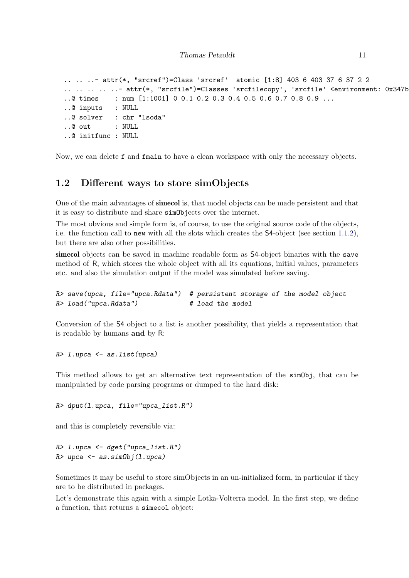```
.. .. ..- attr(*, "srcref")=Class 'srcref' atomic [1:8] 403 6 403 37 6 37 2 2
.. .. .. .. ..- attr(*, "srcfile")=Classes 'srcfilecopy', 'srcfile' <environment: 0x347b
..@ times : num [1:1001] 0 0.1 0.2 0.3 0.4 0.5 0.6 0.7 0.8 0.9 ...
..@ inputs : NULL
..@ solver : chr "lsoda"
..@ out : NULL
..@ initfunc : NULL
```
Now, we can delete f and fmain to have a clean workspace with only the necessary objects.

#### <span id="page-10-0"></span>1.2 Different ways to store simObjects

One of the main advantages of simecol is, that model objects can be made persistent and that it is easy to distribute and share simObjects over the internet.

The most obvious and simple form is, of course, to use the original source code of the objects, i.e. the function call to new with all the slots which creates the S4-object (see section [1.1.2\)](#page-3-1), but there are also other possibilities.

simecol objects can be saved in machine readable form as  $S4$ -object binaries with the save method of R, which stores the whole object with all its equations, initial values, parameters etc. and also the simulation output if the model was simulated before saving.

```
R> save(upca, file="upca.Rdata") # persistent storage of the model object
R> load("upca.Rdata") # load the model
```
Conversion of the S4 object to a list is another possibility, that yields a representation that is readable by humans and by R:

R> l.upca <- as.list(upca)

This method allows to get an alternative text representation of the simObj, that can be manipulated by code parsing programs or dumped to the hard disk:

R> dput(l.upca, file="upca\_list.R")

and this is completely reversible via:

```
R> l.upca <- dget("upca_list.R")
R> upca <- as.simObj(1.upca)
```
Sometimes it may be useful to store simObjects in an un-initialized form, in particular if they are to be distributed in packages.

Let's demonstrate this again with a simple Lotka-Volterra model. In the first step, we define a function, that returns a simecol object: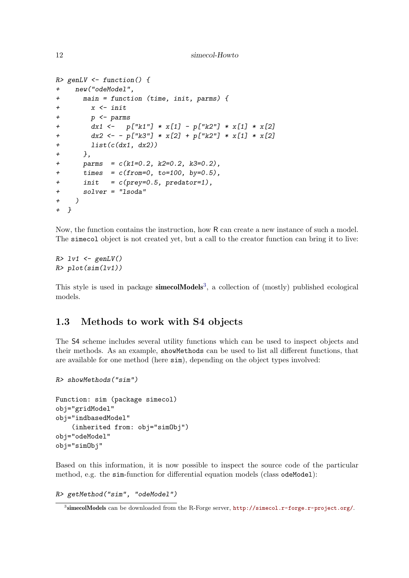```
12 simecol-Howto
```

```
R> genLV <- function() {
+ new("odeModel",
+ main = function (time, init, parms) {
+ x <- init
+ p <- parms
+ dx1 \leftarrow p['k1"] * x[1] - p['k2"] * x[1] * x[2]+ dx2 \leftarrow - p['k3"] * x[2] + p['k2"] * x[1] * x[2]+ list(c(dx1, dx2))
+ },
+ parms = c(k1=0.2, k2=0.2, k3=0.2),
+ times = c(from=0, to=100, by=0.5),
+ \quad init = c(prey=0.5, predator=1),
+ solver = "lsoda"
+ )
+ }
```
Now, the function contains the instruction, how R can create a new instance of such a model. The simecol object is not created yet, but a call to the creator function can bring it to live:

```
R > 1v1 <- genLV()R> plot(sim(lv1))
```
This style is used in package **simecolModels**<sup>[3](#page-11-1)</sup>, a collection of (mostly) published ecological models.

#### <span id="page-11-0"></span>1.3 Methods to work with S4 objects

The S4 scheme includes several utility functions which can be used to inspect objects and their methods. As an example, showMethods can be used to list all different functions, that are available for one method (here sim), depending on the object types involved:

```
R> showMethods("sim")
```

```
Function: sim (package simecol)
obj="gridModel"
obj="indbasedModel"
    (inherited from: obj="simObj")
obj="odeModel"
obj="simObj"
```
Based on this information, it is now possible to inspect the source code of the particular method, e.g. the sim-function for differential equation models (class odeModel):

R> getMethod("sim", "odeModel")

<span id="page-11-1"></span> $^3$ simecolModels can be downloaded from the R-Forge server,  ${\tt http://simecol.r-forge.r-project.org/.}$  ${\tt http://simecol.r-forge.r-project.org/.}$  ${\tt http://simecol.r-forge.r-project.org/.}$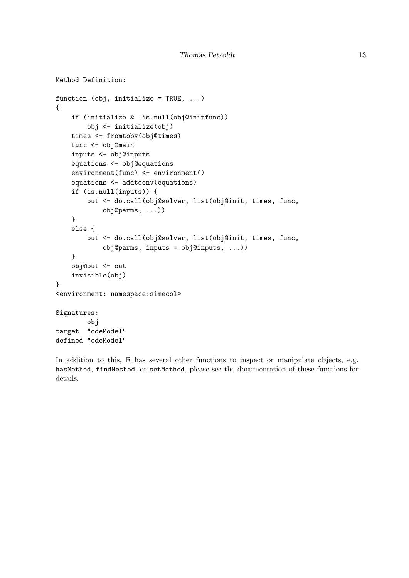```
Method Definition:
function (obj, initialize = TRUE, \ldots)
{
    if (initialize & !is.null(obj@initfunc))
        obj <- initialize(obj)
    times <- fromtoby(obj@times)
    func <- obj@main
    inputs <- obj@inputs
    equations <- obj@equations
    environment(func) <- environment()
    equations <- addtoenv(equations)
    if (is.null(inputs)) {
        out <- do.call(obj@solver, list(obj@init, times, func,
            obj@parms, ...))
    }
    else {
        out <- do.call(obj@solver, list(obj@init, times, func,
            obj@parms, inputs = obj@inputs, ...))
    }
    obj@out <- out
    invisible(obj)
}
<environment: namespace:simecol>
Signatures:
        obj
target "odeModel"
defined "odeModel"
```
In addition to this, R has several other functions to inspect or manipulate objects, e.g. hasMethod, findMethod, or setMethod, please see the documentation of these functions for details.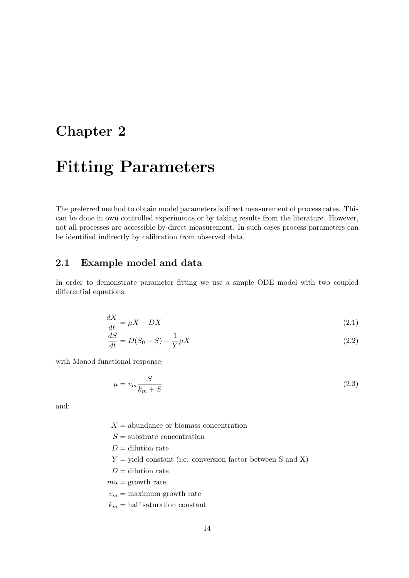### <span id="page-13-0"></span>Chapter 2

# Fitting Parameters

The preferred method to obtain model parameters is direct measurement of process rates. This can be done in own controlled experiments or by taking results from the literature. However, not all processes are accessible by direct measurement. In such cases process parameters can be identified indirectly by calibration from observed data.

#### <span id="page-13-1"></span>2.1 Example model and data

In order to demonstrate parameter fitting we use a simple ODE model with two coupled differential equations:

$$
\frac{dX}{dt} = \mu X - DX \tag{2.1}
$$

$$
\frac{dS}{dt} = D(S_0 - S) - \frac{1}{Y} \mu X \tag{2.2}
$$

with Monod functional response:

$$
\mu = v_m \frac{S}{k_m + S} \tag{2.3}
$$

and:

- $X =$  abundance or biomass concentration
- $S =$ substrate concentration
- $D =$  dilution rate
- $Y =$  yield constant (i.e. conversion factor between S and X)
- $D =$  dilution rate
- $mu =$  growth rate
- $v_m = \text{maximum growth rate}$
- $k_m =$  half saturation constant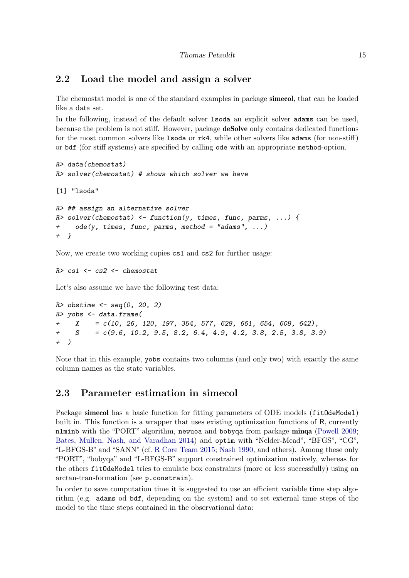#### <span id="page-14-0"></span>2.2 Load the model and assign a solver

The chemostat model is one of the standard examples in package simecol, that can be loaded like a data set.

In the following, instead of the default solver lsoda an explicit solver adams can be used, because the problem is not stiff. However, package deSolve only contains dedicated functions for the most common solvers like lsoda or rk4, while other solvers like adams (for non-stiff) or bdf (for stiff systems) are specified by calling ode with an appropriate method-option.

```
R> data(chemostat)
R> solver(chemostat) # shows which solver we have
[1] "lsoda"
R> ## assign an alternative solver
R> solver(chemostat) <- function(y, times, func, parms, ...) {
     ode(y, times, func, parms, method = "adams", ...)+ }
```
Now, we create two working copies cs1 and cs2 for further usage:

```
R> cs1 <- cs2 <- chemostat
```
Let's also assume we have the following test data:

```
R> obstime \leq seq(0, 20, 2)
R> yobs <- data.frame(
+ X = c(10, 26, 120, 197, 354, 577, 628, 661, 654, 608, 642),
+ S = c(9.6, 10.2, 9.5, 8.2, 6.4, 4.9, 4.2, 3.8, 2.5, 3.8, 3.9)+ )
```
Note that in this example, yobs contains two columns (and only two) with exactly the same column names as the state variables.

#### <span id="page-14-1"></span>2.3 Parameter estimation in simecol

Package simecol has a basic function for fitting parameters of ODE models (fit0deModel) built in. This function is a wrapper that uses existing optimization functions of R, currently nlminb with the "PORT" algorithm, newuoa and bobyqa from package minqa [\(Powell](#page-30-3) [2009;](#page-30-3) [Bates, Mullen, Nash, and Varadhan](#page-30-4) [2014\)](#page-30-4) and optim with "Nelder-Mead", "BFGS", "CG", "L-BFGS-B" and "SANN" (cf. [R Core Team](#page-30-5) [2015;](#page-30-5) [Nash](#page-30-6) [1990,](#page-30-6) and others). Among these only "PORT", "bobyqa" and "L-BFGS-B" support constrained optimization natively, whereas for the others fitOdeModel tries to emulate box constraints (more or less successfully) using an arctan-transformation (see p.constrain).

In order to save computation time it is suggested to use an efficient variable time step algorithm (e.g. adams od bdf, depending on the system) and to set external time steps of the model to the time steps contained in the observational data: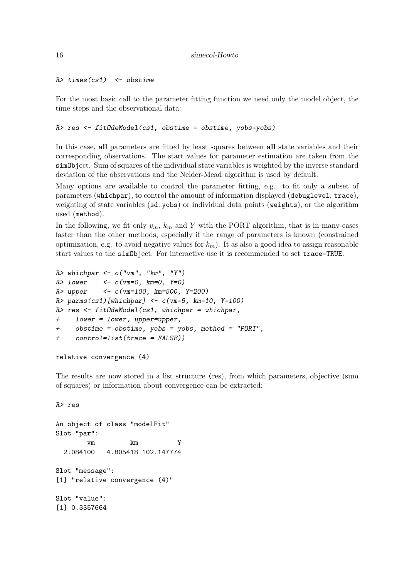$R$ > times(cs1)  $\leq$  obstime

For the most basic call to the parameter fitting function we need only the model object, the time steps and the observational data:

R> res <- fitOdeModel(cs1, obstime = obstime, yobs=yobs)

In this case, all parameters are fitted by least squares between all state variables and their corresponding observations. The start values for parameter estimation are taken from the simObject. Sum of squares of the individual state variables is weighted by the inverse standard deviation of the observations and the Nelder-Mead algorithm is used by default.

Many options are available to control the parameter fitting, e.g. to fit only a subset of parameters (whichpar), to control the amount of information displayed (debuglevel, trace), weighting of state variables (sd.yobs) or individual data points (weights), or the algorithm used (method).

In the following, we fit only  $v_m$ ,  $k_m$  and Y with the PORT algorithm, that is in many cases faster than the other methods, especially if the range of parameters is known (constrained optimization, e.g. to avoid negative values for  $k_m$ ). It as also a good idea to assign reasonable start values to the simObject. For interactive use it is recommended to set trace=TRUE.

```
R> whichpar <- c("vm", "km", "Y")
R > lower \leftarrow c(\text{vm}=0, \text{km}=0, \text{Y}=0)R> upper <- c(vm=100, km=500, Y=200)
R> parms(cs1)[whichpar] <- c(vm=5, km=10, Y=100)
R> res <- fitOdeModel(cs1, whichpar = whichpar,
+ lower = lower, upper=upper,
+ obstime = obstime, yobs = yobs, method = "PORT",
+ control=list(trace = FALSE))
```

```
relative convergence (4)
```
R> res

The results are now stored in a list structure (res), from which parameters, objective (sum of squares) or information about convergence can be extracted:

```
An object of class "modelFit"
Slot "par":
       vm km Y
 2.084100 4.805418 102.147774
Slot "message":
[1] "relative convergence (4)"
Slot "value":
[1] 0.3357664
```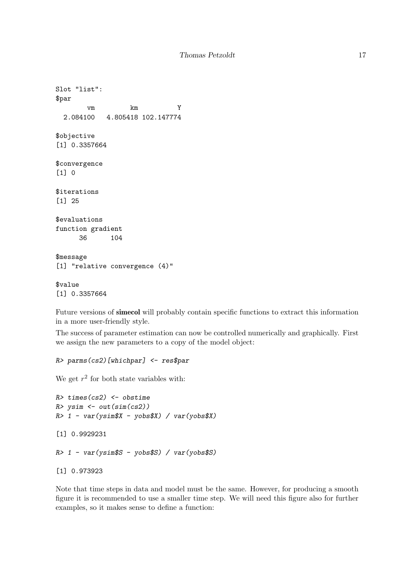```
Slot "list":
$par
       vm km Y
 2.084100 4.805418 102.147774
$objective
[1] 0.3357664
$convergence
[1] 0
$iterations
[1] 25
$evaluations
function gradient
     36 104
$message
[1] "relative convergence (4)"
$value
[1] 0.3357664
```
Future versions of simecol will probably contain specific functions to extract this information in a more user-friendly style.

The success of parameter estimation can now be controlled numerically and graphically. First we assign the new parameters to a copy of the model object:

```
R> parms(cs2)[whichpar] <- res$par
```
We get  $r^2$  for both state variables with:

```
R> times(cs2) <- obstime
R> ysim <- out(sim(cs2))
R> 1 - var(ysim$X - yobs$X) / var(yobs$X)[1] 0.9929231
R> 1 - var(ysim$S - yobs$S) / var(yobs$S)
[1] 0.973923
```
Note that time steps in data and model must be the same. However, for producing a smooth figure it is recommended to use a smaller time step. We will need this figure also for further examples, so it makes sense to define a function: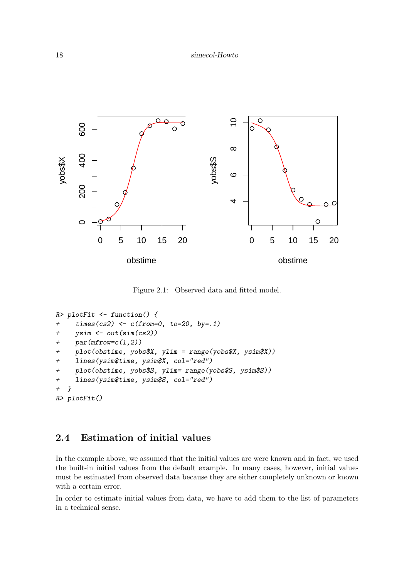

Figure 2.1: Observed data and fitted model.

```
R> plotFit <- function() {
+ times(cs2) <- c(from=0, to=20, by=.1)
     ysim \leftarrow out(sim(cs2))par(mfrow=c(1,2))plot(obstime, yobs $X, ylim = range(yobs $X, ysim $X))+ lines(ysim$time, ysim$X, col="red")
+ plot(obstime, yobs$S, ylim= range(yobs$S, ysim$S))
+ lines(ysim$time, ysim$S, col="red")
+ }
R> plotFit()
```
#### <span id="page-17-0"></span>2.4 Estimation of initial values

In the example above, we assumed that the initial values are were known and in fact, we used the built-in initial values from the default example. In many cases, however, initial values must be estimated from observed data because they are either completely unknown or known with a certain error.

In order to estimate initial values from data, we have to add them to the list of parameters in a technical sense.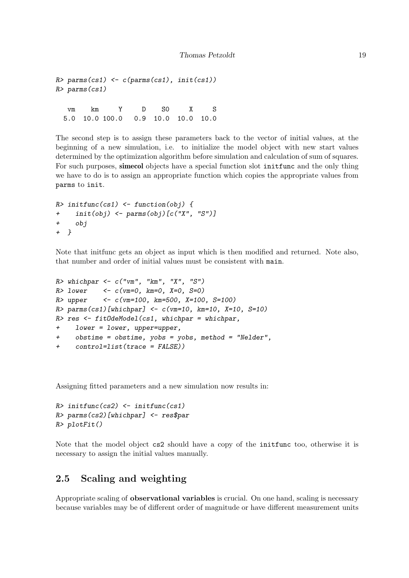```
R> parms(cs1) <- c(parms(cs1), init(cs1))
R> parms(cs1)
  vm km Y D S0 X S
 5.0 10.0 100.0 0.9 10.0 10.0 10.0
```
The second step is to assign these parameters back to the vector of initial values, at the beginning of a new simulation, i.e. to initialize the model object with new start values determined by the optimization algorithm before simulation and calculation of sum of squares. For such purposes, simecol objects have a special function slot initiance and the only thing we have to do is to assign an appropriate function which copies the appropriate values from parms to init.

```
R> initfunc(cs1) <- function(obj) {
+ init(obj) <- parms(obj)[c("X", "S")]
+ obj
+ }
```
Note that initfunc gets an object as input which is then modified and returned. Note also, that number and order of initial values must be consistent with main.

```
R whichpar \leq c("vm", "km", "X", "S")
R > lower <- c(\text{vm}=0, \text{km}=0, \text{X}=0, \text{S}=0)R> upper <- c(vm=100, km=500, X=100, S=100)
R > parms(cs1)[whichpar] <- c(vm=10, km=10, X=10, S=10)
R> res <- fitOdeModel(cs1, whichpar = whichpar,
+ lower = lower, upper=upper,
+ obstime = obstime, yobs = yobs, method = "Nelder",
+ control=list(trace = FALSE))
```
Assigning fitted parameters and a new simulation now results in:

```
R> initfunc(cs2) <- initfunc(cs1)
R> parms(cs2)[whichpar] <- res$par
R> plotFit()
```
Note that the model object cs2 should have a copy of the initfunc too, otherwise it is necessary to assign the initial values manually.

#### <span id="page-18-0"></span>2.5 Scaling and weighting

Appropriate scaling of observational variables is crucial. On one hand, scaling is necessary because variables may be of different order of magnitude or have different measurement units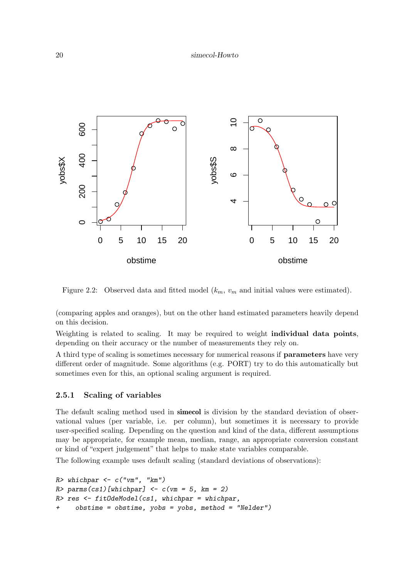

Figure 2.2: Observed data and fitted model  $(k_m, v_m$  and initial values were estimated).

(comparing apples and oranges), but on the other hand estimated parameters heavily depend on this decision.

Weighting is related to scaling. It may be required to weight individual data points, depending on their accuracy or the number of measurements they rely on.

A third type of scaling is sometimes necessary for numerical reasons if parameters have very different order of magnitude. Some algorithms (e.g. PORT) try to do this automatically but sometimes even for this, an optional scaling argument is required.

#### <span id="page-19-0"></span>2.5.1 Scaling of variables

The default scaling method used in **simecol** is division by the standard deviation of observational values (per variable, i.e. per column), but sometimes it is necessary to provide user-specified scaling. Depending on the question and kind of the data, different assumptions may be appropriate, for example mean, median, range, an appropriate conversion constant or kind of "expert judgement" that helps to make state variables comparable.

The following example uses default scaling (standard deviations of observations):

```
R> whichpar <- c("vm", "km")
R> parms(cs1)[whichpar] <- c(vm = 5, km = 2)
R> res <- fitOdeModel(cs1, whichpar = whichpar,
+ obstime = obstime, yobs = yobs, method = "Nelder")
```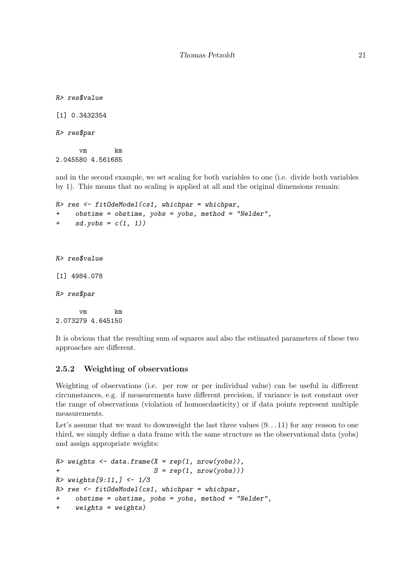R> res\$value

[1] 0.3432354

R> res\$par

vm km 2.045580 4.561685

and in the second example, we set scaling for both variables to one (i.e. divide both variables by 1). This means that no scaling is applied at all and the original dimensions remain:

```
R> res <- fitOdeModel(cs1, whichpar = whichpar,
+ obstime = obstime, yobs = yobs, method = "Nelder",
+ sd.yobs = c(1, 1)R> res$value
[1] 4984.078
R> res$par
     vm km
2.073279 4.645150
```
It is obvious that the resulting sum of squares and also the estimated parameters of these two approaches are different.

#### <span id="page-20-0"></span>2.5.2 Weighting of observations

Weighting of observations (i.e. per row or per individual value) can be useful in different circumstances, e.g. if measurements have different precision, if variance is not constant over the range of observations (violation of homoscdasticity) or if data points represent multiple measurements.

Let's assume that we want to downweight the last three values  $(9...11)$  for any reason to one third, we simply define a data frame with the same structure as the observational data (yobs) and assign appropriate weights:

```
R> weights <- data.frame(X = rep(1, nrow(yobs)),
+ S = rep(1, nrow(yobs)))R> weights[9:11, ] <- 1/3R> res <- fitOdeModel(cs1, whichpar = whichpar,
+ obstime = obstime, yobs = yobs, method = "Nelder",
+ weights = weights)
```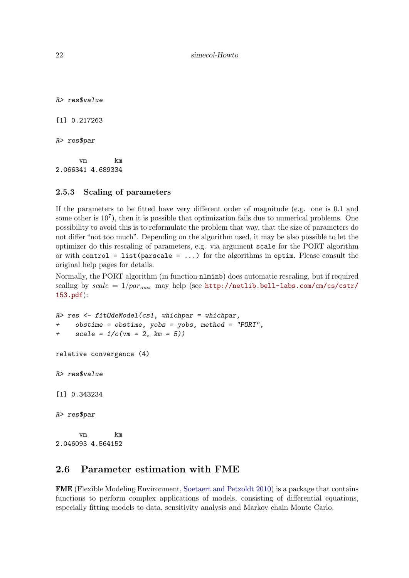22 simecol-Howto

R> res\$value [1] 0.217263 R> res\$par vm km

2.066341 4.689334

#### <span id="page-21-0"></span>2.5.3 Scaling of parameters

If the parameters to be fitted have very different order of magnitude (e.g. one is 0.1 and some other is  $10^7$ ), then it is possible that optimization fails due to numerical problems. One possibility to avoid this is to reformulate the problem that way, that the size of parameters do not differ "not too much". Depending on the algorithm used, it may be also possible to let the optimizer do this rescaling of parameters, e.g. via argument scale for the PORT algorithm or with control = list(parscale =  $\ldots$ ) for the algorithms in optim. Please consult the original help pages for details.

Normally, the PORT algorithm (in function nlminb) does automatic rescaling, but if required scaling by  $scale = 1/paramax$  may help (see [http://netlib.bell-labs.com/cm/cs/cstr/](http://netlib.bell-labs.com/cm/cs/cstr/153.pdf) [153.pdf](http://netlib.bell-labs.com/cm/cs/cstr/153.pdf)):

```
R> res <- fitOdeModel(cs1, whichpar = whichpar,
+ obstime = obstime, yobs = yobs, method = "PORT",
+ scale = 1/c (vm = 2, km = 5))
relative convergence (4)
R> res$value
[1] 0.343234
R> res$par
     vm km
2.046093 4.564152
```
#### <span id="page-21-1"></span>2.6 Parameter estimation with FME

FME (Flexible Modeling Environment, [Soetaert and Petzoldt](#page-30-7) [2010\)](#page-30-7) is a package that contains functions to perform complex applications of models, consisting of differential equations, especially fitting models to data, sensitivity analysis and Markov chain Monte Carlo.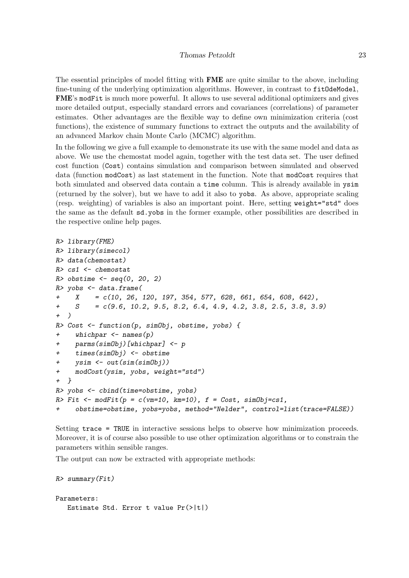The essential principles of model fitting with FME are quite similar to the above, including fine-tuning of the underlying optimization algorithms. However, in contrast to fit0deModel, FME's modFit is much more powerful. It allows to use several additional optimizers and gives more detailed output, especially standard errors and covariances (correlations) of parameter estimates. Other advantages are the flexible way to define own minimization criteria (cost functions), the existence of summary functions to extract the outputs and the availability of an advanced Markov chain Monte Carlo (MCMC) algorithm.

In the following we give a full example to demonstrate its use with the same model and data as above. We use the chemostat model again, together with the test data set. The user defined cost function (Cost) contains simulation and comparison between simulated and observed data (function modCost) as last statement in the function. Note that modCost requires that both simulated and observed data contain a time column. This is already available in ysim (returned by the solver), but we have to add it also to yobs. As above, appropriate scaling (resp. weighting) of variables is also an important point. Here, setting weight="std" does the same as the default sd.yobs in the former example, other possibilities are described in the respective online help pages.

```
R> library(FME)
R> library(simecol)
R> data(chemostat)
R> cs1 <- chemostat
R> obstime \leq seq(0, 20, 2)
R> yobs \leq data.frame(
+ X = c(10, 26, 120, 197, 354, 577, 628, 661, 654, 608, 642),
+ S = c(9.6, 10.2, 9.5, 8.2, 6.4, 4.9, 4.2, 3.8, 2.5, 3.8, 3.9)
+ )
R> Cost \leq function(p, simObj, obstime, yobs) {
+ whichpar <- names(p)
+ parms(simObj)[whichpar] <- p
+ times(simObj) <- obstime
+ ysim <- out(sim(simObj))
+ modCost(ysim, yobs, weight="std")
+ }
R> yobs <- cbind(time=obstime, yobs)
R> Fit \leq modFit(p = c(vm=10, km=10), f = Cost, simObj=cs1,
+ obstime=obstime, yobs=yobs, method="Nelder", control=list(trace=FALSE))
```
Setting trace = TRUE in interactive sessions helps to observe how minimization proceeds. Moreover, it is of course also possible to use other optimization algorithms or to constrain the parameters within sensible ranges.

The output can now be extracted with appropriate methods:

```
R> summary(Fit)
Parameters:
   Estimate Std. Error t value Pr(>|t|)
```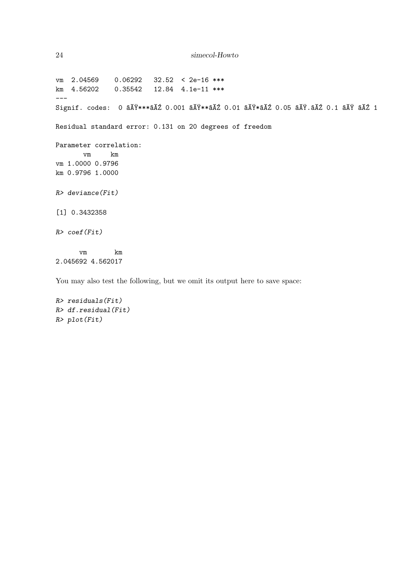```
24 simecol-Howto
```
vm 2.04569 0.06292 32.52 < 2e-16 \*\*\* km 4.56202 0.35542 12.84 4.1e-11 \*\*\* --- Signif. codes: 0 âĂŸ\*\*\*âĂŹ 0.001 âĂŸ\*\*âĂŹ 0.01 âĂŸ\*âĂŹ 0.05 âĂŸ.âĂŹ 0.1 âĂŸ âĂŹ 1 Residual standard error: 0.131 on 20 degrees of freedom Parameter correlation: vm km vm 1.0000 0.9796 km 0.9796 1.0000  $R$ > deviance(Fit) [1] 0.3432358 R> coef(Fit) vm km 2.045692 4.562017

You may also test the following, but we omit its output here to save space:

```
R> residuals(Fit)
R> df.residual(Fit)
R> plot(Fit)
```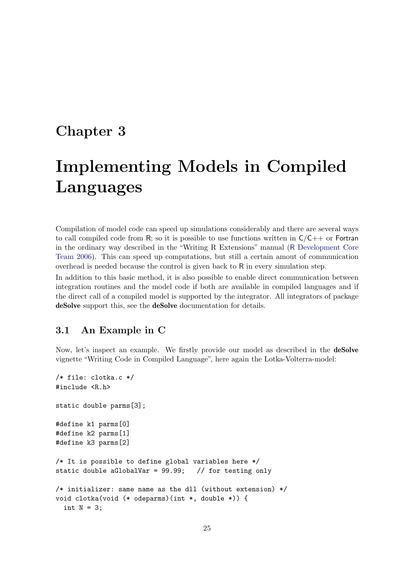### <span id="page-24-0"></span>Chapter 3

# Implementing Models in Compiled Languages

Compilation of model code can speed up simulations considerably and there are several ways to call compiled code from R; so it is possible to use functions written in  $C/C++$  or Fortran in the ordinary way described in the "Writing R Extensions" manual (R [Development Core](#page-30-8) [Team](#page-30-8) [2006\)](#page-30-8). This can speed up computations, but still a certain amout of communication overhead is needed because the control is given back to R in every simulation step.

In addition to this basic method, it is also possible to enable direct communication between integration routines and the model code if both are available in compiled languages and if the direct call of a compiled model is supported by the integrator. All integrators of package deSolve support this, see the deSolve documentation for details.

#### <span id="page-24-1"></span>3.1 An Example in C

Now, let's inspect an example. We firstly provide our model as described in the deSolve vignette "Writing Code in Compiled Language", here again the Lotka-Volterra-model:

```
/* file: clotka.c */
#include <R.h>
static double parms[3];
#define k1 parms[0]
#define k2 parms[1]
#define k3 parms[2]
/* It is possible to define global variables here */
static double aGlobalVar = 99.99; // for testing only
/* initializer: same name as the dll (without extension) */
void clotka(void (* odeparms)(int *, double *)) {
 int N = 3;
```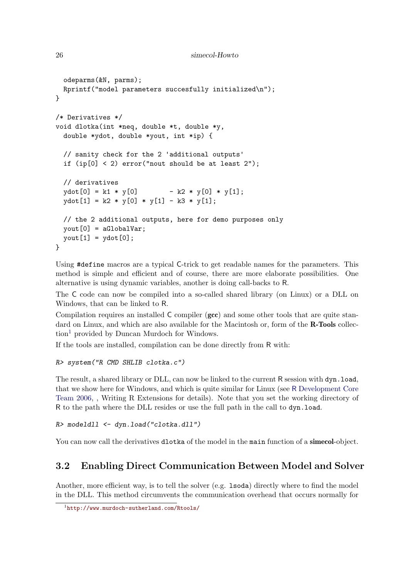```
26 simecol-Howto
```

```
odeparms(&N, parms);
 Rprintf("model parameters succesfully initialized\n");
}
/* Derivatives */
void dlotka(int *neq, double *t, double *y,
 double *ydot, double *yout, int *ip) {
 // sanity check for the 2 'additional outputs'
 if (ip[0] < 2) error("nout should be at least 2");
 // derivatives
 ydot[0] = k1 * y[0] - k2 * y[0] * y[1];
 ydot[1] = k2 * y[0] * y[1] - k3 * y[1];// the 2 additional outputs, here for demo purposes only
 \gammaout[0] = aGlobalVar;
 yout[1] = ydot[0];}
```
Using #define macros are a typical C-trick to get readable names for the parameters. This method is simple and efficient and of course, there are more elaborate possibilities. One alternative is using dynamic variables, another is doing call-backs to R.

The C code can now be compiled into a so-called shared library (on Linux) or a DLL on Windows, that can be linked to R.

Compilation requires an installed C compiler (gcc) and some other tools that are quite standard on Linux, and which are also available for the Macintosh or, form of the **R-Tools** collec-tion<sup>[1](#page-25-1)</sup> provided by Duncan Murdoch for Windows.

If the tools are installed, compilation can be done directly from R with:

```
R> system("R CMD SHLIB clotka.c")
```
The result, a shared library or DLL, can now be linked to the current R session with dyn.load, that we show here for Windows, and which is quite similar for Linux (see R [Development Core](#page-30-8) [Team](#page-30-8) [2006,](#page-30-8) , Writing R Extensions for details). Note that you set the working directory of R to the path where the DLL resides or use the full path in the call to dyn.load.

```
R> modeldll <- dyn.load("clotka.dll")
```
You can now call the derivatives **dlotka** of the model in the main function of a **simecol**-object.

#### <span id="page-25-0"></span>3.2 Enabling Direct Communication Between Model and Solver

Another, more efficient way, is to tell the solver (e.g. lsoda) directly where to find the model in the DLL. This method circumvents the communication overhead that occurs normally for

<span id="page-25-1"></span><sup>1</sup> <http://www.murdoch-sutherland.com/Rtools/>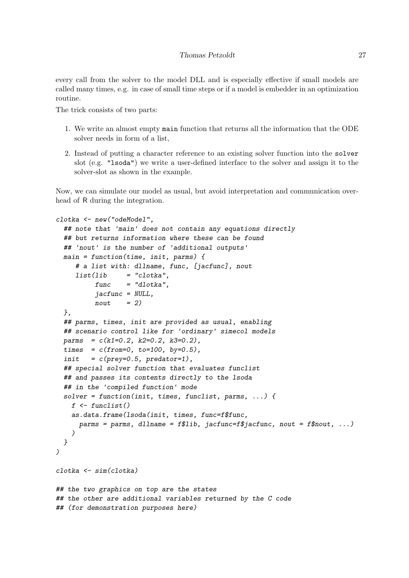every call from the solver to the model DLL and is especially effective if small models are called many times, e.g. in case of small time steps or if a model is embedder in an optimization routine.

The trick consists of two parts:

- 1. We write an almost empty main function that returns all the information that the ODE solver needs in form of a list,
- 2. Instead of putting a character reference to an existing solver function into the solver slot (e.g. "lsoda") we write a user-defined interface to the solver and assign it to the solver-slot as shown in the example.

Now, we can simulate our model as usual, but avoid interpretation and communication overhead of R during the integration.

```
clotka <- new("odeModel",
  ## note that 'main' does not contain any equations directly
 ## but returns information where these can be found
 ## 'nout' is the number of 'additional outputs'
 main = function(time, init, parms) {
    # a list with: dllname, func, [jacfunc], nout
    list(lib = "clotka".func = "dlotka".jacfunc = NULL,
         nout = 2)},
 ## parms, times, init are provided as usual, enabling
 ## scenario control like for 'ordinary' simecol models
 params = c(k1=0.2, k2=0.2, k3=0.2),
 times = c(from=0, to=100, by=0.5),
 init = c(prey=0.5, predator=1),
 ## special solver function that evaluates funclist
 ## and passes its contents directly to the lsoda
 ## in the 'compiled function' mode
 solver = function(init, times, funclist, parms, ...) {
   f \leftarrow function()as.data.frame(lsoda(init, times, func=f$func,
     parms = parms, dllname = f$lib, jacfunc=f$jacfunc, nout = f$nout, ...)
   )
 }
)
clotka <- sim(clotka)
## the two graphics on top are the states
## the other are additional variables returned by the C code
## (for demonstration purposes here)
```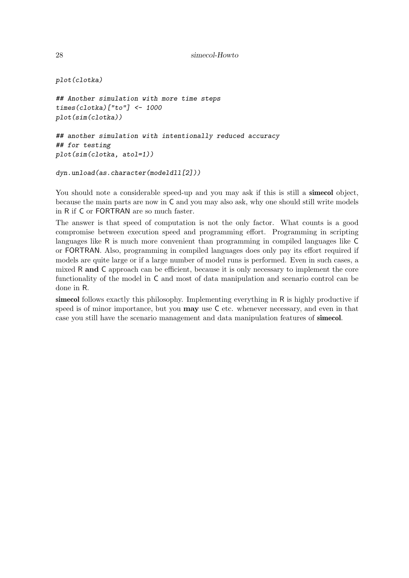```
28 simecol-Howto
```

```
plot(clotka)
```

```
## Another simulation with more time steps
times(clotka)["to"] <- 1000
plot(sim(clotka))
```

```
## another simulation with intentionally reduced accuracy
## for testing
plot(sim(clotka, atol=1))
```

```
dyn.unload(as.character(modeldll[2]))
```
You should note a considerable speed-up and you may ask if this is still a **simecol** object, because the main parts are now in C and you may also ask, why one should still write models in R if C or FORTRAN are so much faster.

The answer is that speed of computation is not the only factor. What counts is a good compromise between execution speed and programming effort. Programming in scripting languages like R is much more convenient than programming in compiled languages like C or FORTRAN. Also, programming in compiled languages does only pay its effort required if models are quite large or if a large number of model runs is performed. Even in such cases, a mixed R and C approach can be efficient, because it is only necessary to implement the core functionality of the model in C and most of data manipulation and scenario control can be done in R.

simecol follows exactly this philosophy. Implementing everything in R is highly productive if speed is of minor importance, but you **may** use C etc. whenever necessary, and even in that case you still have the scenario management and data manipulation features of simecol.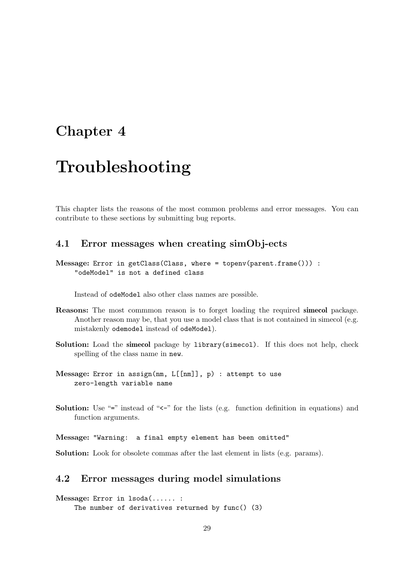### <span id="page-28-0"></span>Chapter 4

## Troubleshooting

This chapter lists the reasons of the most common problems and error messages. You can contribute to these sections by submitting bug reports.

#### <span id="page-28-1"></span>4.1 Error messages when creating simObj-ects

Message: Error in getClass(Class, where = topenv(parent.frame())) : "odeModel" is not a defined class

Instead of odeModel also other class names are possible.

- Reasons: The most commmon reason is to forget loading the required simecol package. Another reason may be, that you use a model class that is not contained in simecol (e.g. mistakenly odemodel instead of odeModel).
- Solution: Load the sime col package by library(sime col). If this does not help, check spelling of the class name in new.
- Message: Error in assign(nm, L[[nm]], p) : attempt to use zero-length variable name
- Solution: Use "=" instead of "<-" for the lists (e.g. function definition in equations) and function arguments.

Message: "Warning: a final empty element has been omitted"

Solution: Look for obsolete commas after the last element in lists (e.g. params).

#### <span id="page-28-2"></span>4.2 Error messages during model simulations

Message: Error in lsoda(...... : The number of derivatives returned by func() (3)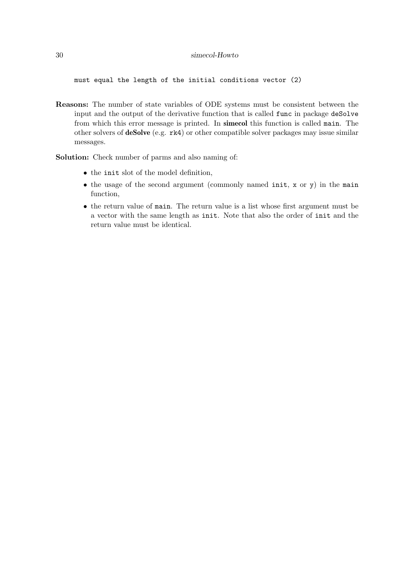must equal the length of the initial conditions vector (2)

Reasons: The number of state variables of ODE systems must be consistent between the input and the output of the derivative function that is called func in package deSolve from which this error message is printed. In simecol this function is called main. The other solvers of deSolve (e.g. rk4) or other compatible solver packages may issue similar messages.

Solution: Check number of parms and also naming of:

- the init slot of the model definition,
- the usage of the second argument (commonly named init, x or y) in the main function,
- <span id="page-29-0"></span>• the return value of main. The return value is a list whose first argument must be a vector with the same length as init. Note that also the order of init and the return value must be identical.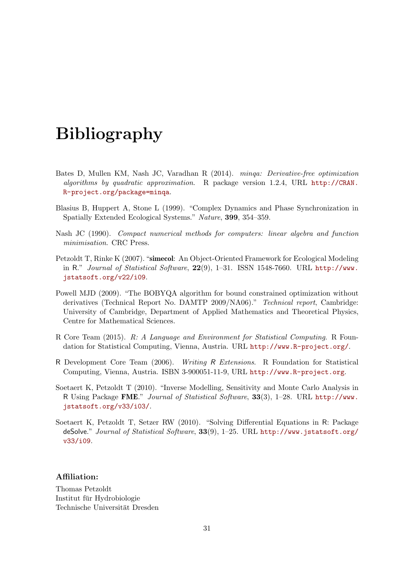# Bibliography

- <span id="page-30-4"></span>Bates D, Mullen KM, Nash JC, Varadhan R (2014). minqa: Derivative-free optimization algorithms by quadratic approximation. R package version 1.2.4, URL [http://CRAN.](http://CRAN.R-project.org/package=minqa) [R-project.org/package=minqa](http://CRAN.R-project.org/package=minqa).
- <span id="page-30-2"></span>Blasius B, Huppert A, Stone L (1999). "Complex Dynamics and Phase Synchronization in Spatially Extended Ecological Systems." Nature, 399, 354–359.
- <span id="page-30-6"></span>Nash JC (1990). Compact numerical methods for computers: linear algebra and function minimisation. CRC Press.
- <span id="page-30-0"></span>Petzoldt T, Rinke K (2007). "simecol: An Object-Oriented Framework for Ecological Modeling in R." Journal of Statistical Software,  $22(9)$ , 1-31. ISSN 1548-7660. URL [http://www.](http://www.jstatsoft.org/v22/i09) [jstatsoft.org/v22/i09](http://www.jstatsoft.org/v22/i09).
- <span id="page-30-3"></span>Powell MJD (2009). "The BOBYQA algorithm for bound constrained optimization without derivatives (Technical Report No. DAMTP 2009/NA06)." Technical report, Cambridge: University of Cambridge, Department of Applied Mathematics and Theoretical Physics, Centre for Mathematical Sciences.
- <span id="page-30-5"></span>R Core Team (2015). R: A Language and Environment for Statistical Computing. R Foundation for Statistical Computing, Vienna, Austria. URL <http://www.R-project.org/>.
- <span id="page-30-8"></span>R Development Core Team (2006). Writing R Extensions. R Foundation for Statistical Computing, Vienna, Austria. ISBN 3-900051-11-9, URL <http://www.R-project.org>.
- <span id="page-30-7"></span>Soetaert K, Petzoldt T (2010). "Inverse Modelling, Sensitivity and Monte Carlo Analysis in R Using Package FME." Journal of Statistical Software, 33(3), 1–28. URL [http://www.](http://www.jstatsoft.org/v33/i03/) [jstatsoft.org/v33/i03/](http://www.jstatsoft.org/v33/i03/).
- <span id="page-30-1"></span>Soetaert K, Petzoldt T, Setzer RW (2010). "Solving Differential Equations in R: Package deSolve." Journal of Statistical Software, 33(9), 1-25. URL [http://www.jstatsoft.org/](http://www.jstatsoft.org/v33/i09) [v33/i09](http://www.jstatsoft.org/v33/i09).

#### Affiliation:

Thomas Petzoldt Institut fur Hydrobiologie ¨ Technische Universität Dresden